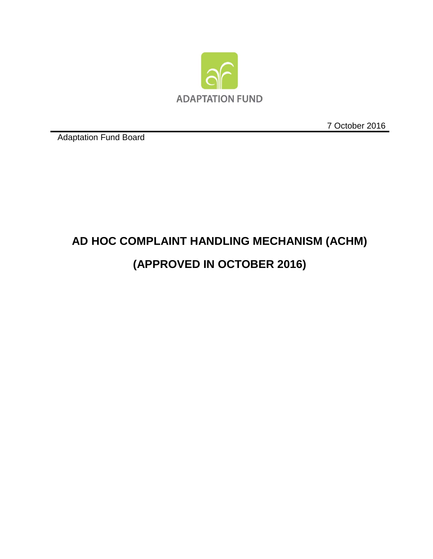

7 October 2016

Adaptation Fund Board

# **AD HOC COMPLAINT HANDLING MECHANISM (ACHM) (APPROVED IN OCTOBER 2016)**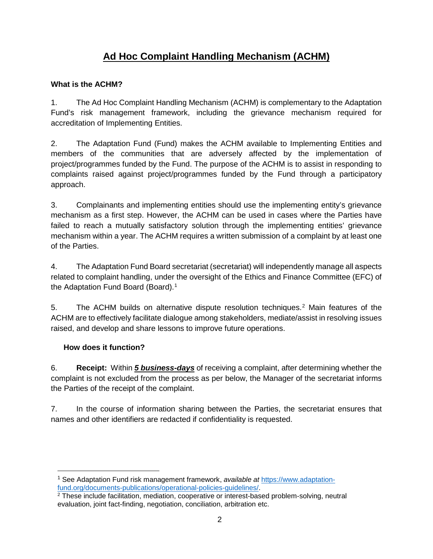## **Ad Hoc Complaint Handling Mechanism (ACHM)**

#### **What is the ACHM?**

1. The Ad Hoc Complaint Handling Mechanism (ACHM) is complementary to the Adaptation Fund's risk management framework, including the grievance mechanism required for accreditation of Implementing Entities.

2. The Adaptation Fund (Fund) makes the ACHM available to Implementing Entities and members of the communities that are adversely affected by the implementation of project/programmes funded by the Fund. The purpose of the ACHM is to assist in responding to complaints raised against project/programmes funded by the Fund through a participatory approach.

3. Complainants and implementing entities should use the implementing entity's grievance mechanism as a first step. However, the ACHM can be used in cases where the Parties have failed to reach a mutually satisfactory solution through the implementing entities' grievance mechanism within a year. The ACHM requires a written submission of a complaint by at least one of the Parties.

4. The Adaptation Fund Board secretariat (secretariat) will independently manage all aspects related to complaint handling, under the oversight of the Ethics and Finance Committee (EFC) of the Adaptation Fund Board (Board).<sup>[1](#page-1-0)</sup>

5. The ACHM builds on alternative dispute resolution techniques.<sup>[2](#page-1-1)</sup> Main features of the ACHM are to effectively facilitate dialogue among stakeholders, mediate/assist in resolving issues raised, and develop and share lessons to improve future operations.

### **How does it function?**

6. **Receipt:** Within *5 business-days* of receiving a complaint, after determining whether the complaint is not excluded from the process as per below, the Manager of the secretariat informs the Parties of the receipt of the complaint.

7. In the course of information sharing between the Parties, the secretariat ensures that names and other identifiers are redacted if confidentiality is requested.

<span id="page-1-0"></span><sup>&</sup>lt;sup>1</sup> See Adaptation Fund risk management framework, *available at* https://www.adaptation-<br>fund.org/documents-publications/operational-policies-guidelines/.

<span id="page-1-1"></span> $2$  These include facilitation, mediation, cooperative or interest-based problem-solving, neutral evaluation, joint fact-finding, negotiation, conciliation, arbitration etc.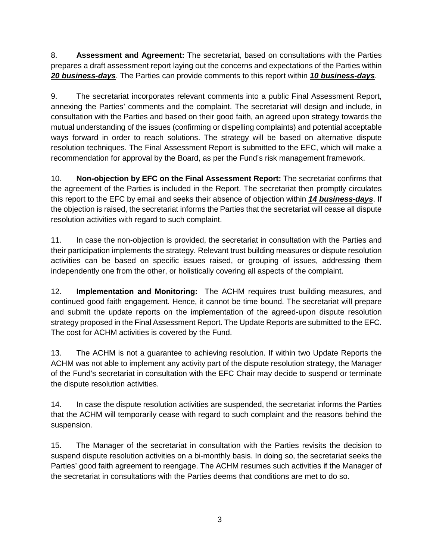8. **Assessment and Agreement:** The secretariat, based on consultations with the Parties prepares a draft assessment report laying out the concerns and expectations of the Parties within *20 business-days*. The Parties can provide comments to this report within *10 business-days*.

9. The secretariat incorporates relevant comments into a public Final Assessment Report, annexing the Parties' comments and the complaint. The secretariat will design and include, in consultation with the Parties and based on their good faith, an agreed upon strategy towards the mutual understanding of the issues (confirming or dispelling complaints) and potential acceptable ways forward in order to reach solutions. The strategy will be based on alternative dispute resolution techniques. The Final Assessment Report is submitted to the EFC, which will make a recommendation for approval by the Board, as per the Fund's risk management framework.

10. **Non-objection by EFC on the Final Assessment Report:** The secretariat confirms that the agreement of the Parties is included in the Report. The secretariat then promptly circulates this report to the EFC by email and seeks their absence of objection within *14 business-days*. If the objection is raised, the secretariat informs the Parties that the secretariat will cease all dispute resolution activities with regard to such complaint.

11. In case the non-objection is provided, the secretariat in consultation with the Parties and their participation implements the strategy. Relevant trust building measures or dispute resolution activities can be based on specific issues raised, or grouping of issues, addressing them independently one from the other, or holistically covering all aspects of the complaint.

12. **Implementation and Monitoring:** The ACHM requires trust building measures, and continued good faith engagement. Hence, it cannot be time bound. The secretariat will prepare and submit the update reports on the implementation of the agreed-upon dispute resolution strategy proposed in the Final Assessment Report. The Update Reports are submitted to the EFC. The cost for ACHM activities is covered by the Fund.

13. The ACHM is not a guarantee to achieving resolution. If within two Update Reports the ACHM was not able to implement any activity part of the dispute resolution strategy, the Manager of the Fund's secretariat in consultation with the EFC Chair may decide to suspend or terminate the dispute resolution activities.

14. In case the dispute resolution activities are suspended, the secretariat informs the Parties that the ACHM will temporarily cease with regard to such complaint and the reasons behind the suspension.

15. The Manager of the secretariat in consultation with the Parties revisits the decision to suspend dispute resolution activities on a bi-monthly basis. In doing so, the secretariat seeks the Parties' good faith agreement to reengage. The ACHM resumes such activities if the Manager of the secretariat in consultations with the Parties deems that conditions are met to do so.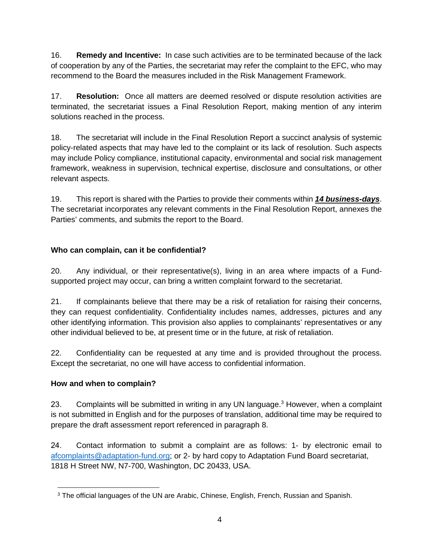16. **Remedy and Incentive:** In case such activities are to be terminated because of the lack of cooperation by any of the Parties, the secretariat may refer the complaint to the EFC, who may recommend to the Board the measures included in the Risk Management Framework.

17. **Resolution:** Once all matters are deemed resolved or dispute resolution activities are terminated, the secretariat issues a Final Resolution Report, making mention of any interim solutions reached in the process.

18. The secretariat will include in the Final Resolution Report a succinct analysis of systemic policy-related aspects that may have led to the complaint or its lack of resolution. Such aspects may include Policy compliance, institutional capacity, environmental and social risk management framework, weakness in supervision, technical expertise, disclosure and consultations, or other relevant aspects.

19. This report is shared with the Parties to provide their comments within *14 business-days*. The secretariat incorporates any relevant comments in the Final Resolution Report, annexes the Parties' comments, and submits the report to the Board.

### **Who can complain, can it be confidential?**

20. Any individual, or their representative(s), living in an area where impacts of a Fundsupported project may occur, can bring a written complaint forward to the secretariat.

21. If complainants believe that there may be a risk of retaliation for raising their concerns, they can request confidentiality. Confidentiality includes names, addresses, pictures and any other identifying information. This provision also applies to complainants' representatives or any other individual believed to be, at present time or in the future, at risk of retaliation.

22. Confidentiality can be requested at any time and is provided throughout the process. Except the secretariat, no one will have access to confidential information.

### **How and when to complain?**

2[3](#page-3-0). Complaints will be submitted in writing in any UN language.<sup>3</sup> However, when a complaint is not submitted in English and for the purposes of translation, additional time may be required to prepare the draft assessment report referenced in paragraph 8.

24. Contact information to submit a complaint are as follows: 1- by electronic email to afc[omplaints@adaptation-fund.or](mailto:complaints@adaptation-fund.org)g; or 2- by hard copy to Adaptation Fund Board secretariat, 1818 H Street NW, N7-700, Washington, DC 20433, USA.

<span id="page-3-0"></span><sup>&</sup>lt;sup>3</sup> The official languages of the UN are Arabic, Chinese, English, French, Russian and Spanish.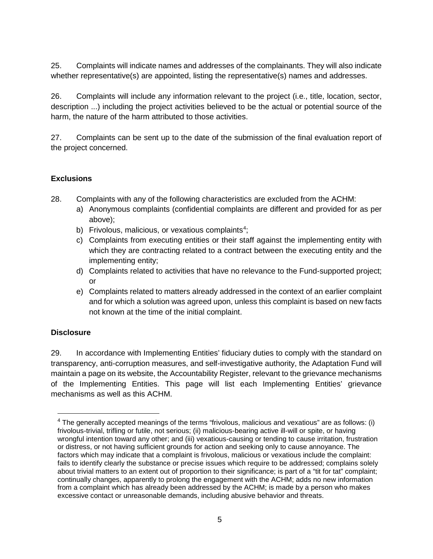25. Complaints will indicate names and addresses of the complainants. They will also indicate whether representative(s) are appointed, listing the representative(s) names and addresses.

26. Complaints will include any information relevant to the project (i.e., title, location, sector, description ...) including the project activities believed to be the actual or potential source of the harm, the nature of the harm attributed to those activities.

27. Complaints can be sent up to the date of the submission of the final evaluation report of the project concerned.

#### **Exclusions**

- 28. Complaints with any of the following characteristics are excluded from the ACHM:
	- a) Anonymous complaints (confidential complaints are different and provided for as per above);
	- b) Frivolous, malicious, or vexatious complaints<sup>[4](#page-4-0)</sup>;
	- c) Complaints from executing entities or their staff against the implementing entity with which they are contracting related to a contract between the executing entity and the implementing entity;
	- d) Complaints related to activities that have no relevance to the Fund-supported project; or
	- e) Complaints related to matters already addressed in the context of an earlier complaint and for which a solution was agreed upon, unless this complaint is based on new facts not known at the time of the initial complaint.

### **Disclosure**

<u>.</u>

29. In accordance with Implementing Entities' fiduciary duties to comply with the standard on transparency, anti-corruption measures, and self-investigative authority, the Adaptation Fund will maintain a page on its website, the Accountability Register, relevant to the grievance mechanisms of the Implementing Entities. This page will list each Implementing Entities' grievance mechanisms as well as this ACHM.

<span id="page-4-0"></span><sup>4</sup> The generally accepted meanings of the terms "frivolous, malicious and vexatious" are as follows: (i) frivolous-trivial, trifling or futile, not serious; (ii) malicious-bearing active ill-will or spite, or having wrongful intention toward any other; and (iii) vexatious-causing or tending to cause irritation, frustration or distress, or not having sufficient grounds for action and seeking only to cause annoyance. The factors which may indicate that a complaint is frivolous, malicious or vexatious include the complaint: fails to identify clearly the substance or precise issues which require to be addressed; complains solely about trivial matters to an extent out of proportion to their significance; is part of a "tit for tat" complaint; continually changes, apparently to prolong the engagement with the ACHM; adds no new information from a complaint which has already been addressed by the ACHM; is made by a person who makes excessive contact or unreasonable demands, including abusive behavior and threats.